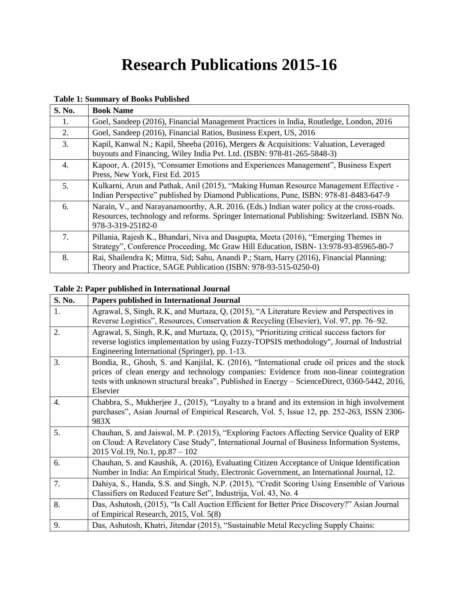# **Research Publications 2015-16**

#### **Table 1: Summary of Books Published**

| S. No. | <b>Book Name</b>                                                                                                                                                                                               |
|--------|----------------------------------------------------------------------------------------------------------------------------------------------------------------------------------------------------------------|
| 1.     | Goel, Sandeep (2016), Financial Management Practices in India, Routledge, London, 2016                                                                                                                         |
| 2.     | Goel, Sandeep (2016), Financial Ratios, Business Expert, US, 2016                                                                                                                                              |
| 3.     | Kapil, Kanwal N.; Kapil, Sheeba (2016), Mergers & Acquisitions: Valuation, Leveraged<br>buyouts and Financing, Wiley India Pvt. Ltd. (ISBN: 978-81-265-5848-3)                                                 |
| 4.     | Kapoor, A. (2015), "Consumer Emotions and Experiences Management", Business Expert<br>Press, New York, First Ed. 2015                                                                                          |
| 5.     | Kulkarni, Arun and Pathak, Anil (2015), "Making Human Resource Management Effective -<br>Indian Perspective" published by Diamond Publications, Pune, ISBN: 978-81-8483-647-9                                  |
| 6.     | Narain, V., and Narayanamoorthy, A.R. 2016. (Eds.) Indian water policy at the cross-roads.<br>Resources, technology and reforms. Springer International Publishing: Switzerland. ISBN No.<br>978-3-319-25182-0 |
| 7.     | Pillania, Rajesh K., Bhandari, Niva and Dasgupta, Meeta (2016), "Emerging Themes in<br>Strategy", Conference Proceeding, Mc Graw Hill Education, ISBN-13:978-93-85965-80-7                                     |
| 8.     | Rai, Shailendra K; Mittra, Sid; Sahu, Anandi P.; Starn, Harry (2016), Financial Planning:<br>Theory and Practice, SAGE Publication (ISBN: 978-93-515-0250-0)                                                   |

#### **Table 2: Paper published in International Journal**

| S. No.           | Papers published in International Journal                                                                                                                                                                                                                                                           |
|------------------|-----------------------------------------------------------------------------------------------------------------------------------------------------------------------------------------------------------------------------------------------------------------------------------------------------|
| 1.               | Agrawal, S, Singh, R.K, and Murtaza, Q, (2015), "A Literature Review and Perspectives in<br>Reverse Logistics", Resources, Conservation & Recycling (Elsevier), Vol. 97, pp. 76–92.                                                                                                                 |
| 2.               | Agrawal, S, Singh, R.K, and Murtaza, Q, (2015), "Prioritizing critical success factors for<br>reverse logistics implementation by using Fuzzy-TOPSIS methodology", Journal of Industrial<br>Engineering International (Springer), pp. 1-13.                                                         |
| 3.               | Bondia, R., Ghosh, S. and Kanjilal, K. (2016), "International crude oil prices and the stock<br>prices of clean energy and technology companies: Evidence from non-linear cointegration<br>tests with unknown structural breaks", Published in Energy – ScienceDirect, 0360-5442, 2016,<br>Elsevier |
| $\overline{4}$ . | Chabbra, S., Mukherjee J., (2015), "Loyalty to a brand and its extension in high involvement<br>purchases", Asian Journal of Empirical Research, Vol. 5, Issue 12, pp. 252-263, ISSN 2306-<br>983X                                                                                                  |
| 5.               | Chauhan, S. and Jaiswal, M. P. (2015), "Exploring Factors Affecting Service Quality of ERP<br>on Cloud: A Revelatory Case Study", International Journal of Business Information Systems,<br>2015 Vol.19, No.1, pp.87 – 102                                                                          |
| 6.               | Chauhan, S. and Kaushik, A. (2016), Evaluating Citizen Acceptance of Unique Identification<br>Number in India: An Empirical Study, Electronic Government, an International Journal, 12.                                                                                                             |
| 7.               | Dahiya, S., Handa, S.S. and Singh, N.P. (2015), "Credit Scoring Using Ensemble of Various<br>Classifiers on Reduced Feature Set", Industrija, Vol. 43, No. 4                                                                                                                                        |
| 8.               | Das, Ashutosh, (2015), "Is Call Auction Efficient for Better Price Discovery?" Asian Journal<br>of Empirical Research, 2015, Vol. 5(8)                                                                                                                                                              |
| 9.               | Das, Ashutosh, Khatri, Jitendar (2015), "Sustainable Metal Recycling Supply Chains:                                                                                                                                                                                                                 |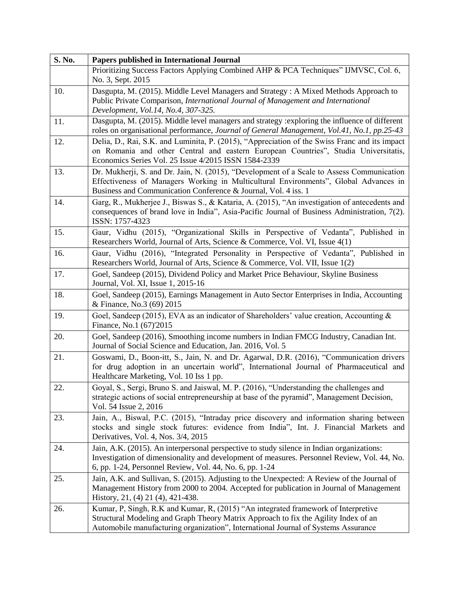| S. No. | Papers published in International Journal                                                                                                                                                                                                                       |
|--------|-----------------------------------------------------------------------------------------------------------------------------------------------------------------------------------------------------------------------------------------------------------------|
|        | Prioritizing Success Factors Applying Combined AHP & PCA Techniques" IJMVSC, Col. 6,<br>No. 3, Sept. 2015                                                                                                                                                       |
| 10.    | Dasgupta, M. (2015). Middle Level Managers and Strategy: A Mixed Methods Approach to<br>Public Private Comparison, International Journal of Management and International<br>Development, Vol.14, No.4, 307-325.                                                 |
| 11.    | Dasgupta, M. (2015). Middle level managers and strategy :exploring the influence of different<br>roles on organisational performance, Journal of General Management, Vol.41, No.1, pp.25-43                                                                     |
| 12.    | Delia, D., Rai, S.K. and Luminita, P. (2015), "Appreciation of the Swiss Franc and its impact<br>on Romania and other Central and eastern European Countries", Studia Universitatis,<br>Economics Series Vol. 25 Issue 4/2015 ISSN 1584-2339                    |
| 13.    | Dr. Mukherji, S. and Dr. Jain, N. (2015), "Development of a Scale to Assess Communication<br>Effectiveness of Managers Working in Multicultural Environments", Global Advances in<br>Business and Communication Conference & Journal, Vol. 4 iss. 1             |
| 14.    | Garg, R., Mukherjee J., Biswas S., & Kataria, A. (2015), "An investigation of antecedents and<br>consequences of brand love in India", Asia-Pacific Journal of Business Administration, 7(2).<br>ISSN: 1757-4323                                                |
| 15.    | Gaur, Vidhu (2015), "Organizational Skills in Perspective of Vedanta", Published in<br>Researchers World, Journal of Arts, Science & Commerce, Vol. VI, Issue 4(1)                                                                                              |
| 16.    | Gaur, Vidhu (2016), "Integrated Personality in Perspective of Vedanta", Published in<br>Researchers World, Journal of Arts, Science & Commerce, Vol. VII, Issue 1(2)                                                                                            |
| 17.    | Goel, Sandeep (2015), Dividend Policy and Market Price Behaviour, Skyline Business<br>Journal, Vol. XI, Issue 1, 2015-16                                                                                                                                        |
| 18.    | Goel, Sandeep (2015), Earnings Management in Auto Sector Enterprises in India, Accounting<br>& Finance, No.3 (69) 2015                                                                                                                                          |
| 19.    | Goel, Sandeep (2015), EVA as an indicator of Shareholders' value creation, Accounting &<br>Finance, No.1 (67)'2015                                                                                                                                              |
| 20.    | Goel, Sandeep (2016), Smoothing income numbers in Indian FMCG Industry, Canadian Int.<br>Journal of Social Science and Education, Jan. 2016, Vol. 5                                                                                                             |
| 21.    | Goswami, D., Boon-itt, S., Jain, N. and Dr. Agarwal, D.R. (2016), "Communication drivers<br>for drug adoption in an uncertain world", International Journal of Pharmaceutical and<br>Healthcare Marketing, Vol. 10 Iss 1 pp.                                    |
| 22.    | Goyal, S., Sergi, Bruno S. and Jaiswal, M. P. (2016), "Understanding the challenges and<br>strategic actions of social entrepreneurship at base of the pyramid", Management Decision,<br>Vol. 54 Issue 2, 2016                                                  |
| 23.    | Jain, A., Biswal, P.C. (2015), "Intraday price discovery and information sharing between<br>stocks and single stock futures: evidence from India", Int. J. Financial Markets and<br>Derivatives, Vol. 4, Nos. 3/4, 2015                                         |
| 24.    | Jain, A.K. (2015). An interpersonal perspective to study silence in Indian organizations:<br>Investigation of dimensionality and development of measures. Personnel Review, Vol. 44, No.<br>6, pp. 1-24, Personnel Review, Vol. 44, No. 6, pp. 1-24             |
| 25.    | Jain, A.K. and Sullivan, S. (2015). Adjusting to the Unexpected: A Review of the Journal of<br>Management History from 2000 to 2004. Accepted for publication in Journal of Management<br>History, 21, (4) 21 (4), 421-438.                                     |
| 26.    | Kumar, P, Singh, R.K and Kumar, R, (2015) "An integrated framework of Interpretive<br>Structural Modeling and Graph Theory Matrix Approach to fix the Agility Index of an<br>Automobile manufacturing organization", International Journal of Systems Assurance |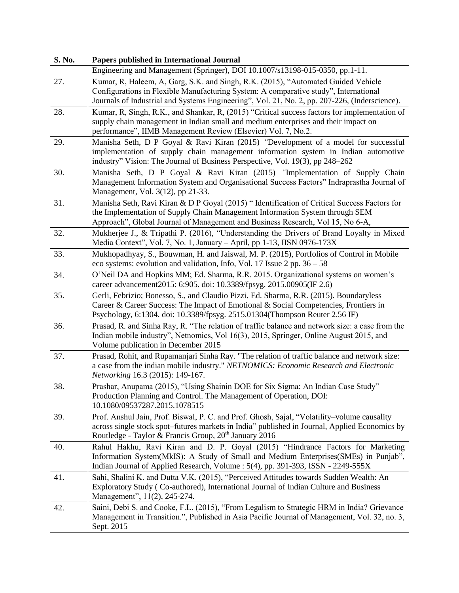| S. No. | Papers published in International Journal                                                                                                                                                                                                                                  |
|--------|----------------------------------------------------------------------------------------------------------------------------------------------------------------------------------------------------------------------------------------------------------------------------|
|        | Engineering and Management (Springer), DOI 10.1007/s13198-015-0350, pp.1-11.                                                                                                                                                                                               |
| 27.    | Kumar, R, Haleem, A, Garg, S.K. and Singh, R.K. (2015), "Automated Guided Vehicle<br>Configurations in Flexible Manufacturing System: A comparative study", International<br>Journals of Industrial and Systems Engineering", Vol. 21, No. 2, pp. 207-226, (Inderscience). |
| 28.    | Kumar, R, Singh, R.K., and Shankar, R, (2015) "Critical success factors for implementation of<br>supply chain management in Indian small and medium enterprises and their impact on<br>performance", IIMB Management Review (Elsevier) Vol. 7, No.2.                       |
| 29.    | Manisha Seth, D P Goyal & Ravi Kiran (2015) "Development of a model for successful<br>implementation of supply chain management information system in Indian automotive<br>industry" Vision: The Journal of Business Perspective, Vol. 19(3), pp 248-262                   |
| 30.    | Manisha Seth, D P Goyal & Ravi Kiran (2015) "Implementation of Supply Chain<br>Management Information System and Organisational Success Factors" Indraprastha Journal of<br>Management, Vol. 3(12), pp 21-33.                                                              |
| 31.    | Manisha Seth, Ravi Kiran & D P Goyal (2015) " Identification of Critical Success Factors for<br>the Implementation of Supply Chain Management Information System through SEM<br>Approach", Global Journal of Management and Business Research, Vol 15, No 6-A,             |
| 32.    | Mukherjee J., & Tripathi P. (2016), "Understanding the Drivers of Brand Loyalty in Mixed<br>Media Context", Vol. 7, No. 1, January - April, pp 1-13, IISN 0976-173X                                                                                                        |
| 33.    | Mukhopadhyay, S., Bouwman, H. and Jaiswal, M. P. (2015), Portfolios of Control in Mobile<br>eco systems: evolution and validation, Info, Vol. 17 Issue $2$ pp. $36 - 58$                                                                                                   |
| 34.    | O'Neil DA and Hopkins MM; Ed. Sharma, R.R. 2015. Organizational systems on women's<br>career advancement2015: 6:905. doi: 10.3389/fpsyg. 2015.00905(IF 2.6)                                                                                                                |
| 35.    | Gerli, Febrizio; Bonesso, S., and Claudio Pizzi. Ed. Sharma, R.R. (2015). Boundaryless<br>Career & Career Success: The Impact of Emotional & Social Competencies, Frontiers in<br>Psychology, 6:1304. doi: 10.3389/fpsyg. 2515.01304(Thompson Reuter 2.56 IF)              |
| 36.    | Prasad, R. and Sinha Ray, R. "The relation of traffic balance and network size: a case from the<br>Indian mobile industry", Netnomics, Vol 16(3), 2015, Springer, Online August 2015, and<br>Volume publication in December 2015                                           |
| 37.    | Prasad, Rohit, and Rupamanjari Sinha Ray. "The relation of traffic balance and network size:<br>a case from the indian mobile industry." NETNOMICS: Economic Research and Electronic<br>Networking 16.3 (2015): 149-167.                                                   |
| 38.    | Prashar, Anupama (2015), "Using Shainin DOE for Six Sigma: An Indian Case Study"<br>Production Planning and Control. The Management of Operation, DOI:<br>10.1080/09537287.2015.1078515                                                                                    |
| 39.    | Prof. Anshul Jain, Prof. Biswal, P. C. and Prof. Ghosh, Sajal, "Volatility-volume causality<br>across single stock spot–futures markets in India" published in Journal, Applied Economics by<br>Routledge - Taylor & Francis Group, 20 <sup>th</sup> January 2016          |
| 40.    | Rahul Hakhu, Ravi Kiran and D. P. Goyal (2015) "Hindrance Factors for Marketing<br>Information System(MkIS): A Study of Small and Medium Enterprises(SMEs) in Punjab",<br>Indian Journal of Applied Research, Volume : 5(4), pp. 391-393, ISSN - 2249-555X                 |
| 41.    | Sahi, Shalini K. and Dutta V.K. (2015), "Perceived Attitudes towards Sudden Wealth: An<br>Exploratory Study (Co-authored), International Journal of Indian Culture and Business<br>Management", 11(2), 245-274.                                                            |
| 42.    | Saini, Debi S. and Cooke, F.L. (2015), "From Legalism to Strategic HRM in India? Grievance<br>Management in Transition.", Published in Asia Pacific Journal of Management, Vol. 32, no. 3,<br>Sept. 2015                                                                   |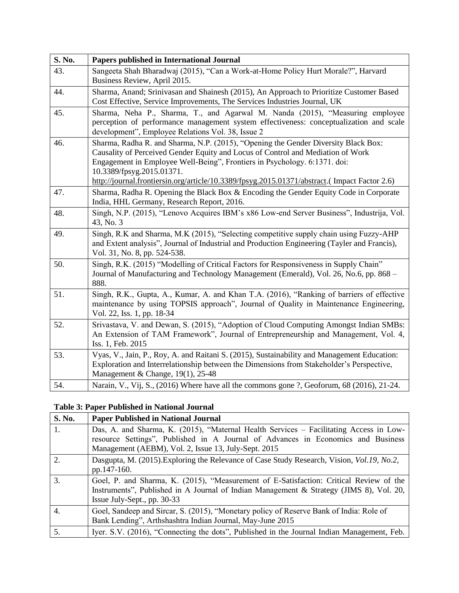| S. No. | Papers published in International Journal                                                                                                                                                                                                                                                                                                                                       |
|--------|---------------------------------------------------------------------------------------------------------------------------------------------------------------------------------------------------------------------------------------------------------------------------------------------------------------------------------------------------------------------------------|
| 43.    | Sangeeta Shah Bharadwaj (2015), "Can a Work-at-Home Policy Hurt Morale?", Harvard<br>Business Review, April 2015.                                                                                                                                                                                                                                                               |
| 44.    | Sharma, Anand; Srinivasan and Shainesh (2015), An Approach to Prioritize Customer Based<br>Cost Effective, Service Improvements, The Services Industries Journal, UK                                                                                                                                                                                                            |
| 45.    | Sharma, Neha P., Sharma, T., and Agarwal M. Nanda (2015), "Measuring employee<br>perception of performance management system effectiveness: conceptualization and scale<br>development", Employee Relations Vol. 38, Issue 2                                                                                                                                                    |
| 46.    | Sharma, Radha R. and Sharma, N.P. (2015), "Opening the Gender Diversity Black Box:<br>Causality of Perceived Gender Equity and Locus of Control and Mediation of Work<br>Engagement in Employee Well-Being", Frontiers in Psychology. 6:1371. doi:<br>10.3389/fpsyg.2015.01371.<br>http://journal.frontiersin.org/article/10.3389/fpsyg.2015.01371/abstract.(Impact Factor 2.6) |
| 47.    | Sharma, Radha R. Opening the Black Box & Encoding the Gender Equity Code in Corporate<br>India, HHL Germany, Research Report, 2016.                                                                                                                                                                                                                                             |
| 48.    | Singh, N.P. (2015), "Lenovo Acquires IBM's x86 Low-end Server Business", Industrija, Vol.<br>43, No. 3                                                                                                                                                                                                                                                                          |
| 49.    | Singh, R.K and Sharma, M.K (2015), "Selecting competitive supply chain using Fuzzy-AHP<br>and Extent analysis", Journal of Industrial and Production Engineering (Tayler and Francis),<br>Vol. 31, No. 8, pp. 524-538.                                                                                                                                                          |
| 50.    | Singh, R.K. (2015) "Modelling of Critical Factors for Responsiveness in Supply Chain"<br>Journal of Manufacturing and Technology Management (Emerald), Vol. 26, No.6, pp. 868 -<br>888.                                                                                                                                                                                         |
| 51.    | Singh, R.K., Gupta, A., Kumar, A. and Khan T.A. (2016), "Ranking of barriers of effective<br>maintenance by using TOPSIS approach", Journal of Quality in Maintenance Engineering,<br>Vol. 22, Iss. 1, pp. 18-34                                                                                                                                                                |
| 52.    | Srivastava, V. and Dewan, S. (2015), "Adoption of Cloud Computing Amongst Indian SMBs:<br>An Extension of TAM Framework", Journal of Entrepreneurship and Management, Vol. 4,<br>Iss. 1, Feb. 2015                                                                                                                                                                              |
| 53.    | Vyas, V., Jain, P., Roy, A. and Raitani S. (2015), Sustainability and Management Education:<br>Exploration and Interrelationship between the Dimensions from Stakeholder's Perspective,<br>Management & Change, 19(1), 25-48                                                                                                                                                    |
| 54.    | Narain, V., Vij, S., (2016) Where have all the commons gone ?, Geoforum, 68 (2016), 21-24.                                                                                                                                                                                                                                                                                      |

### **Table 3: Paper Published in National Journal**

| <b>S. No.</b>    | <b>Paper Published in National Journal</b>                                                                                                                                                                                         |
|------------------|------------------------------------------------------------------------------------------------------------------------------------------------------------------------------------------------------------------------------------|
| 1.               | Das, A. and Sharma, K. (2015), "Maternal Health Services – Facilitating Access in Low-<br>resource Settings", Published in A Journal of Advances in Economics and Business<br>Management (AEBM), Vol. 2, Issue 13, July-Sept. 2015 |
| $\overline{2}$ . | Dasgupta, M. (2015). Exploring the Relevance of Case Study Research, Vision, <i>Vol.19</i> , <i>No.2</i> ,<br>pp.147-160.                                                                                                          |
| 3.               | Goel, P. and Sharma, K. (2015), "Measurement of E-Satisfaction: Critical Review of the<br>Instruments", Published in A Journal of Indian Management & Strategy (JIMS 8), Vol. 20,<br>Issue July-Sept., pp. 30-33                   |
| 4.               | Goel, Sandeep and Sircar, S. (2015), "Monetary policy of Reserve Bank of India: Role of<br>Bank Lending", Arthshashtra Indian Journal, May-June 2015                                                                               |
| 5.               | Iyer. S.V. (2016), "Connecting the dots", Published in the Journal Indian Management, Feb.                                                                                                                                         |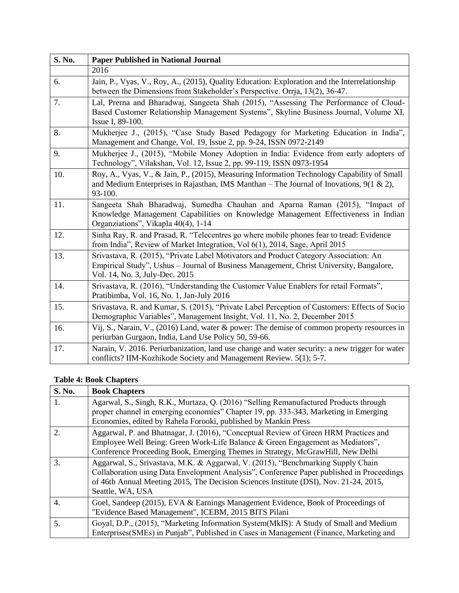| S. No. | <b>Paper Published in National Journal</b>                                                                                                                                                                         |
|--------|--------------------------------------------------------------------------------------------------------------------------------------------------------------------------------------------------------------------|
|        | 2016                                                                                                                                                                                                               |
| 6.     | Jain, P., Vyas, V., Roy, A., (2015), Quality Education: Exploration and the Interrelationship<br>between the Dimensions from Stakeholder's Perspective. Orrja, 13(2), 36-47.                                       |
| 7.     | Lal, Prerna and Bharadwaj, Sangeeta Shah (2015), "Assessing The Performance of Cloud-<br>Based Customer Relationship Management Systems", Skyline Business Journal, Volume XI,<br>Issue I, 89-100.                 |
| 8.     | Mukherjee J., (2015), "Case Study Based Pedagogy for Marketing Education in India",<br>Management and Change, Vol. 19, Issue 2, pp. 9-24, ISSN 0972-2149                                                           |
| 9.     | Mukherjee J., (2015), "Mobile Money Adoption in India: Evidence from early adopters of<br>Technology", Vilakshan, Vol. 12, Issue 2, pp. 99-119, ISSN 0973-1954                                                     |
| 10.    | Roy, A., Vyas, V., & Jain, P., (2015), Measuring Information Technology Capability of Small<br>and Medium Enterprises in Rajasthan, IMS Manthan – The Journal of Inovations, $9(1 \& 2)$ ,<br>93-100.              |
| 11.    | Sangeeta Shah Bharadwaj, Sumedha Chauhan and Aparna Raman (2015), "Impact of<br>Knowledge Management Capabilities on Knowledge Management Effectiveness in Indian<br>Organziations", Vikapla 40(4), 1-14           |
| 12.    | Sinha Ray, R. and Prasad, R. "Telecentres go where mobile phones fear to tread: Evidence<br>from India", Review of Market Integration, Vol 6(1), 2014, Sage, April 2015                                            |
| 13.    | Srivastava, R. (2015), "Private Label Motivators and Product Category Association: An<br>Empirical Study", Ushus - Journal of Business Management, Christ University, Bangalore,<br>Vol. 14, No. 3, July-Dec. 2015 |
| 14.    | Srivastava, R. (2016), "Understanding the Customer Value Enablers for retail Formats",<br>Pratibimba, Vol. 16, No. 1, Jan-July 2016                                                                                |
| 15.    | Srivastava, R. and Kumar, S. (2015), "Private Label Perception of Customers: Effects of Socio<br>Demographic Variables", Management Insight, Vol. 11, No. 2, December 2015                                         |
| 16.    | Vij, S., Narain, V., (2016) Land, water & power: The demise of common property resources in<br>periurban Gurgaon, India, Land Use Policy 50, 59-66.                                                                |
| 17.    | Narain, V. 2016. Periurbanization, land use change and water security: a new trigger for water<br>conflicts? IIM-Kozhikode Society and Management Review. 5(1); 5-7.                                               |

## **Table 4: Book Chapters**

| S. No.           | <b>Book Chapters</b>                                                                                                                                                                                                                                                                       |
|------------------|--------------------------------------------------------------------------------------------------------------------------------------------------------------------------------------------------------------------------------------------------------------------------------------------|
| 1.               | Agarwal, S., Singh, R.K., Murtaza, Q. (2016) "Selling Remanufactured Products through<br>proper channel in emerging economies" Chapter 19, pp. 333-343, Marketing in Emerging<br>Economies, edited by Rahela Forooki, published by Mankin Press                                            |
| $\overline{2}$   | Aggarwal, P. and Bhatnagar, J. (2016), "Conceptual Review of Green HRM Practices and<br>Employee Well Being: Green Work-Life Balance & Green Engagement as Mediators",<br>Conference Proceeding Book, Emerging Themes in Strategy, McGrawHill, New Delhi                                   |
| 3.               | Aggarwal, S., Srivastava, M.K. & Aggarwal, V. (2015), "Benchmarking Supply Chain<br>Collaboration using Data Envelopment Analysis", Conference Paper published in Proceedings<br>of 46th Annual Meeting 2015, The Decision Sciences Institute (DSI), Nov. 21-24, 2015,<br>Seattle, WA, USA |
| $\overline{4}$ . | Goel, Sandeep (2015), EVA & Earnings Management Evidence, Book of Proceedings of<br>"Evidence Based Management", ICEBM, 2015 BITS Pilani                                                                                                                                                   |
| 5.               | Goyal, D.P., (2015), "Marketing Information System(MkIS): A Study of Small and Medium<br>Enterprises (SMEs) in Punjab", Published in Cases in Management (Finance, Marketing and                                                                                                           |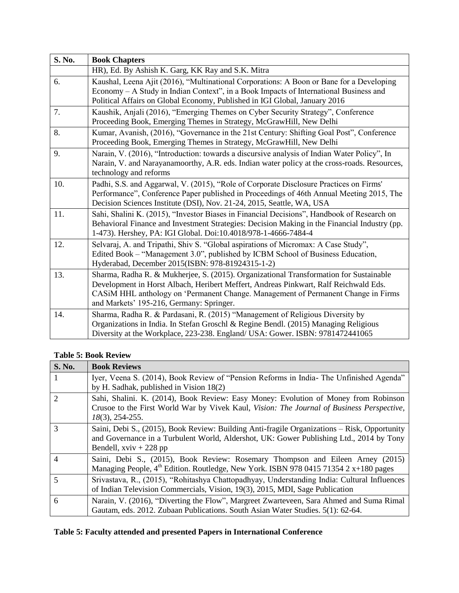| S. No. | <b>Book Chapters</b>                                                                                                                                                                                                                                                                                            |
|--------|-----------------------------------------------------------------------------------------------------------------------------------------------------------------------------------------------------------------------------------------------------------------------------------------------------------------|
|        | HR), Ed. By Ashish K. Garg, KK Ray and S.K. Mitra                                                                                                                                                                                                                                                               |
| 6.     | Kaushal, Leena Ajit (2016), "Multinational Corporations: A Boon or Bane for a Developing<br>Economy – A Study in Indian Context", in a Book Impacts of International Business and<br>Political Affairs on Global Economy, Published in IGI Global, January 2016                                                 |
| 7.     | Kaushik, Anjali (2016), "Emerging Themes on Cyber Security Strategy", Conference<br>Proceeding Book, Emerging Themes in Strategy, McGrawHill, New Delhi                                                                                                                                                         |
| 8.     | Kumar, Avanish, (2016), "Governance in the 21st Century: Shifting Goal Post", Conference<br>Proceeding Book, Emerging Themes in Strategy, McGrawHill, New Delhi                                                                                                                                                 |
| 9.     | Narain, V. (2016), "Introduction: towards a discursive analysis of Indian Water Policy", In<br>Narain, V. and Narayanamoorthy, A.R. eds. Indian water policy at the cross-roads. Resources,<br>technology and reforms                                                                                           |
| 10.    | Padhi, S.S. and Aggarwal, V. (2015), "Role of Corporate Disclosure Practices on Firms'<br>Performance", Conference Paper published in Proceedings of 46th Annual Meeting 2015, The<br>Decision Sciences Institute (DSI), Nov. 21-24, 2015, Seattle, WA, USA                                                     |
| 11.    | Sahi, Shalini K. (2015), "Investor Biases in Financial Decisions", Handbook of Research on<br>Behavioral Finance and Investment Strategies: Decision Making in the Financial Industry (pp.<br>1-473). Hershey, PA: IGI Global. Doi:10.4018/978-1-4666-7484-4                                                    |
| 12.    | Selvaraj, A. and Tripathi, Shiv S. "Global aspirations of Micromax: A Case Study",<br>Edited Book - "Management 3.0", published by ICBM School of Business Education,<br>Hyderabad, December 2015(ISBN: 978-81924315-1-2)                                                                                       |
| 13.    | Sharma, Radha R. & Mukherjee, S. (2015). Organizational Transformation for Sustainable<br>Development in Horst Albach, Heribert Meffert, Andreas Pinkwart, Ralf Reichwald Eds.<br>CASiM HHL anthology on 'Permanent Change. Management of Permanent Change in Firms<br>and Markets' 195-216, Germany: Springer. |
| 14.    | Sharma, Radha R. & Pardasani, R. (2015) "Management of Religious Diversity by<br>Organizations in India. In Stefan Groschl & Regine Bendl. (2015) Managing Religious<br>Diversity at the Workplace, 223-238. England/ USA: Gower. ISBN: 9781472441065                                                           |

## **Table 5: Book Review**

| <b>S. No.</b>               | <b>Book Reviews</b>                                                                                                                                                                                                 |
|-----------------------------|---------------------------------------------------------------------------------------------------------------------------------------------------------------------------------------------------------------------|
|                             | Iyer, Veena S. (2014), Book Review of "Pension Reforms in India- The Unfinished Agenda"<br>by H. Sadhak, published in Vision 18(2)                                                                                  |
| $\mathcal{D}_{\mathcal{L}}$ | Sahi, Shalini. K. (2014), Book Review: Easy Money: Evolution of Money from Robinson<br>Crusoe to the First World War by Vivek Kaul, Vision: The Journal of Business Perspective,<br>$18(3)$ , 254-255.              |
| 3                           | Saini, Debi S., (2015), Book Review: Building Anti-fragile Organizations – Risk, Opportunity<br>and Governance in a Turbulent World, Aldershot, UK: Gower Publishing Ltd., 2014 by Tony<br>Bendell, $xviv + 228$ pp |
| $\overline{4}$              | Saini, Debi S., (2015), Book Review: Rosemary Thompson and Eileen Arney (2015)<br>Managing People, $4^{th}$ Edition. Routledge, New York. ISBN 978 0415 71354 2 x+180 pages                                         |
|                             | Srivastava, R., (2015), "Rohitashya Chattopadhyay, Understanding India: Cultural Influences<br>of Indian Television Commercials, Vision, 19(3), 2015, MDI, Sage Publication                                         |
| 6                           | Narain, V. (2016), "Diverting the Flow", Margreet Zwarteveen, Sara Ahmed and Suma Rimal<br>Gautam, eds. 2012. Zubaan Publications. South Asian Water Studies. 5(1): 62-64.                                          |

# **Table 5: Faculty attended and presented Papers in International Conference**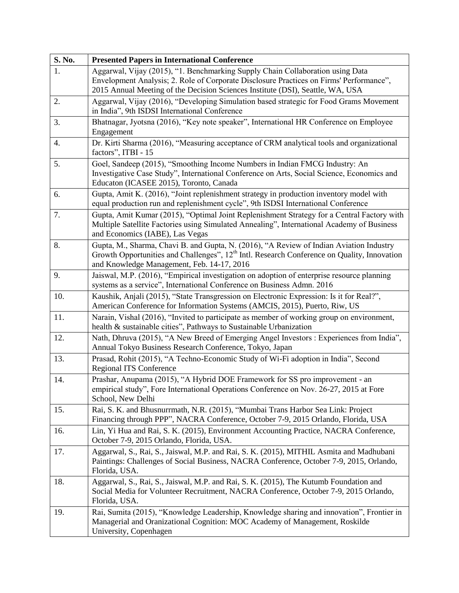| S. No. | <b>Presented Papers in International Conference</b>                                                                                                                                                                                                         |
|--------|-------------------------------------------------------------------------------------------------------------------------------------------------------------------------------------------------------------------------------------------------------------|
| 1.     | Aggarwal, Vijay (2015), "1. Benchmarking Supply Chain Collaboration using Data<br>Envelopment Analysis; 2. Role of Corporate Disclosure Practices on Firms' Performance",<br>2015 Annual Meeting of the Decision Sciences Institute (DSI), Seattle, WA, USA |
| 2.     | Aggarwal, Vijay (2016), "Developing Simulation based strategic for Food Grams Movement<br>in India", 9th ISDSI International Conference                                                                                                                     |
| 3.     | Bhatnagar, Jyotsna (2016), "Key note speaker", International HR Conference on Employee<br>Engagement                                                                                                                                                        |
| 4.     | Dr. Kirti Sharma (2016), "Measuring acceptance of CRM analytical tools and organizational<br>factors", ITBI - 15                                                                                                                                            |
| 5.     | Goel, Sandeep (2015), "Smoothing Income Numbers in Indian FMCG Industry: An<br>Investigative Case Study", International Conference on Arts, Social Science, Economics and<br>Educaton (ICASEE 2015), Toronto, Canada                                        |
| 6.     | Gupta, Amit K. (2016), "Joint replenishment strategy in production inventory model with<br>equal production run and replenishment cycle", 9th ISDSI International Conference                                                                                |
| 7.     | Gupta, Amit Kumar (2015), "Optimal Joint Replenishment Strategy for a Central Factory with<br>Multiple Satellite Factories using Simulated Annealing", International Academy of Business<br>and Economics (IABE), Las Vegas                                 |
| 8.     | Gupta, M., Sharma, Chavi B. and Gupta, N. (2016), "A Review of Indian Aviation Industry<br>Growth Opportunities and Challenges", 12 <sup>th</sup> Intl. Research Conference on Quality, Innovation<br>and Knowledge Management, Feb. 14-17, 2016            |
| 9.     | Jaiswal, M.P. (2016), "Empirical investigation on adoption of enterprise resource planning<br>systems as a service", International Conference on Business Admn. 2016                                                                                        |
| 10.    | Kaushik, Anjali (2015), "State Transgression on Electronic Expression: Is it for Real?",<br>American Conference for Information Systems (AMCIS, 2015), Puerto, Riw, US                                                                                      |
| 11.    | Narain, Vishal (2016), "Invited to participate as member of working group on environment,<br>health & sustainable cities", Pathways to Sustainable Urbanization                                                                                             |
| 12.    | Nath, Dhruva (2015), "A New Breed of Emerging Angel Investors : Experiences from India",<br>Annual Tokyo Business Research Conference, Tokyo, Japan                                                                                                         |
| 13.    | Prasad, Rohit (2015), "A Techno-Economic Study of Wi-Fi adoption in India", Second<br><b>Regional ITS Conference</b>                                                                                                                                        |
| 14.    | Prashar, Anupama (2015), "A Hybrid DOE Framework for SS pro improvement - an<br>empirical study", Fore International Operations Conference on Nov. 26-27, 2015 at Fore<br>School, New Delhi                                                                 |
| 15.    | Rai, S. K. and Bhusnurrmath, N.R. (2015), "Mumbai Trans Harbor Sea Link: Project<br>Financing through PPP", NACRA Conference, October 7-9, 2015 Orlando, Florida, USA                                                                                       |
| 16.    | Lin, Yi Hua and Rai, S. K. (2015), Environment Accounting Practice, NACRA Conference,<br>October 7-9, 2015 Orlando, Florida, USA.                                                                                                                           |
| 17.    | Aggarwal, S., Rai, S., Jaiswal, M.P. and Rai, S. K. (2015), MITHIL Asmita and Madhubani<br>Paintings: Challenges of Social Business, NACRA Conference, October 7-9, 2015, Orlando,<br>Florida, USA.                                                         |
| 18.    | Aggarwal, S., Rai, S., Jaiswal, M.P. and Rai, S. K. (2015), The Kutumb Foundation and<br>Social Media for Volunteer Recruitment, NACRA Conference, October 7-9, 2015 Orlando,<br>Florida, USA.                                                              |
| 19.    | Rai, Sumita (2015), "Knowledge Leadership, Knowledge sharing and innovation", Frontier in<br>Managerial and Oranizational Cognition: MOC Academy of Management, Roskilde<br>University, Copenhagen                                                          |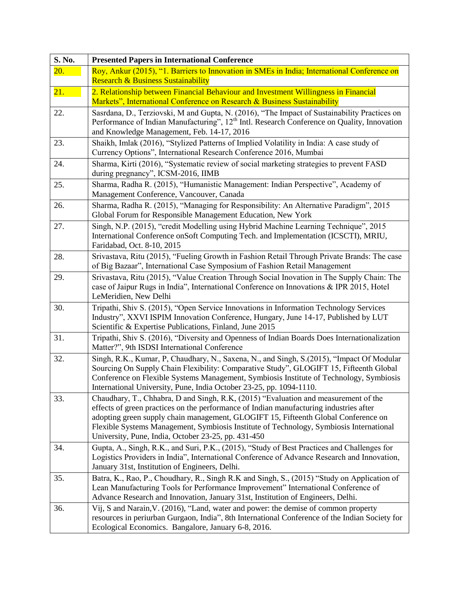| S. No. | <b>Presented Papers in International Conference</b>                                                                                                                                                     |
|--------|---------------------------------------------------------------------------------------------------------------------------------------------------------------------------------------------------------|
| 20.    | Roy, Ankur (2015), "1. Barriers to Innovation in SMEs in India; International Conference on                                                                                                             |
|        | <b>Research &amp; Business Sustainability</b>                                                                                                                                                           |
| 21.    | 2. Relationship between Financial Behaviour and Investment Willingness in Financial                                                                                                                     |
|        | Markets", International Conference on Research & Business Sustainability                                                                                                                                |
| 22.    | Sasrdana, D., Terziovski, M and Gupta, N. (2016), "The Impact of Sustainability Practices on<br>Performance of Indian Manufacturing", 12 <sup>th</sup> Intl. Research Conference on Quality, Innovation |
|        | and Knowledge Management, Feb. 14-17, 2016                                                                                                                                                              |
| 23.    | Shaikh, Imlak (2016), "Stylized Patterns of Implied Volatility in India: A case study of                                                                                                                |
|        | Currency Options", International Research Conference 2016, Mumbai                                                                                                                                       |
| 24.    | Sharma, Kirti (2016), "Systematic review of social marketing strategies to prevent FASD                                                                                                                 |
|        | during pregnancy", ICSM-2016, IIMB                                                                                                                                                                      |
| 25.    | Sharma, Radha R. (2015), "Humanistic Management: Indian Perspective", Academy of                                                                                                                        |
|        | Management Conference, Vancouver, Canada                                                                                                                                                                |
| 26.    | Sharma, Radha R. (2015), "Managing for Responsibility: An Alternative Paradigm", 2015                                                                                                                   |
|        | Global Forum for Responsible Management Education, New York                                                                                                                                             |
| 27.    | Singh, N.P. (2015), "credit Modelling using Hybrid Machine Learning Technique", 2015<br>International Conference onSoft Computing Tech. and Implementation (ICSCTI), MRIU,                              |
|        | Faridabad, Oct. 8-10, 2015                                                                                                                                                                              |
| 28.    | Srivastava, Ritu (2015), "Fueling Growth in Fashion Retail Through Private Brands: The case                                                                                                             |
|        | of Big Bazaar", International Case Symposium of Fashion Retail Management                                                                                                                               |
| 29.    | Srivastava, Ritu (2015), "Value Creation Through Social Inovation in The Supply Chain: The                                                                                                              |
|        | case of Jaipur Rugs in India", International Conference on Innovations & IPR 2015, Hotel                                                                                                                |
|        | LeMeridien, New Delhi                                                                                                                                                                                   |
| 30.    | Tripathi, Shiv S. (2015), "Open Service Innovations in Information Technology Services                                                                                                                  |
|        | Industry", XXVI ISPIM Innovation Conference, Hungary, June 14-17, Published by LUT                                                                                                                      |
| 31.    | Scientific & Expertise Publications, Finland, June 2015<br>Tripathi, Shiv S. (2016), "Diversity and Openness of Indian Boards Does Internationalization                                                 |
|        | Matter?", 9th ISDSI International Conference                                                                                                                                                            |
| 32.    | Singh, R.K., Kumar, P, Chaudhary, N., Saxena, N., and Singh, S.(2015), "Impact Of Modular                                                                                                               |
|        | Sourcing On Supply Chain Flexibility: Comparative Study", GLOGIFT 15, Fifteenth Global                                                                                                                  |
|        | Conference on Flexible Systems Management, Symbiosis Institute of Technology, Symbiosis                                                                                                                 |
|        | International University, Pune, India October 23-25, pp. 1094-1110.                                                                                                                                     |
| 33.    | Chaudhary, T., Chhabra, D and Singh, R.K, (2015) "Evaluation and measurement of the                                                                                                                     |
|        | effects of green practices on the performance of Indian manufacturing industries after                                                                                                                  |
|        | adopting green supply chain management, GLOGIFT 15, Fifteenth Global Conference on<br>Flexible Systems Management, Symbiosis Institute of Technology, Symbiosis International                           |
|        | University, Pune, India, October 23-25, pp. 431-450                                                                                                                                                     |
| 34.    | Gupta, A., Singh, R.K., and Suri, P.K., (2015), "Study of Best Practices and Challenges for                                                                                                             |
|        | Logistics Providers in India", International Conference of Advance Research and Innovation,                                                                                                             |
|        | January 31st, Institution of Engineers, Delhi.                                                                                                                                                          |
| 35.    | Batra, K., Rao, P., Choudhary, R., Singh R.K and Singh, S., (2015) "Study on Application of                                                                                                             |
|        | Lean Manufacturing Tools for Performance Improvement" International Conference of                                                                                                                       |
|        | Advance Research and Innovation, January 31st, Institution of Engineers, Delhi.                                                                                                                         |
| 36.    | Vij, S and Narain, V. (2016), "Land, water and power: the demise of common property<br>resources in periurban Gurgaon, India", 8th International Conference of the Indian Society for                   |
|        | Ecological Economics. Bangalore, January 6-8, 2016.                                                                                                                                                     |
|        |                                                                                                                                                                                                         |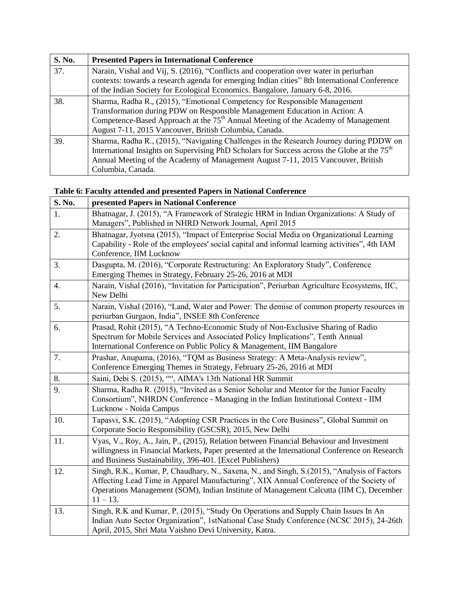| S. No. | <b>Presented Papers in International Conference</b>                                                                                                                                                                                                                                                                 |
|--------|---------------------------------------------------------------------------------------------------------------------------------------------------------------------------------------------------------------------------------------------------------------------------------------------------------------------|
| 37.    | Narain, Vishal and Vij, S. (2016), "Conflicts and cooperation over water in periurban<br>contexts: towards a research agenda for emerging Indian cities" 8th International Conference                                                                                                                               |
|        | of the Indian Society for Ecological Economics. Bangalore, January 6-8, 2016.                                                                                                                                                                                                                                       |
| 38.    | Sharma, Radha R., (2015), "Emotional Competency for Responsible Management<br>Transformation during PDW on Responsible Management Education in Action: A<br>Competence-Based Approach at the 75 <sup>th</sup> Annual Meeting of the Academy of Management<br>August 7-11, 2015 Vancouver, British Columbia, Canada. |
| 39.    | Sharma, Radha R., (2015), "Navigating Challenges in the Research Journey during PDDW on<br>International Insights on Supervising PhD Scholars for Success across the Globe at the 75 <sup>th</sup><br>Annual Meeting of the Academy of Management August 7-11, 2015 Vancouver, British<br>Columbia, Canada.         |

# **Table 6: Faculty attended and presented Papers in National Conference**

| S. No.           | presented Papers in National Conference                                                                                                                                                                                                                                                        |
|------------------|------------------------------------------------------------------------------------------------------------------------------------------------------------------------------------------------------------------------------------------------------------------------------------------------|
| 1.               | Bhatnagar, J. (2015), "A Framework of Strategic HRM in Indian Organizations: A Study of<br>Managers", Published in NHRD Network Journal, April 2015                                                                                                                                            |
| 2.               | Bhatnagar, Jyotsna (2015), "Impact of Enterprise Social Media on Organizational Learning<br>Capability - Role of the employees' social capital and informal learning activities", 4th IAM<br>Conference, IIM Lucknow                                                                           |
| 3.               | Dasgupta, M. (2016), "Corporate Restructuring: An Exploratory Study", Conference<br>Emerging Themes in Strategy, February 25-26, 2016 at MDI                                                                                                                                                   |
| $\overline{4}$ . | Narain, Vishal (2016), "Invitation for Participation", Periurban Agriculture Ecosystems, IIC,<br>New Delhi                                                                                                                                                                                     |
| 5.               | Narain, Vishal (2016), "Land, Water and Power: The demise of common property resources in<br>periurban Gurgaon, India", INSEE 8th Conference                                                                                                                                                   |
| 6.               | Prasad, Rohit (2015), "A Techno-Economic Study of Non-Exclusive Sharing of Radio<br>Spectrum for Mobile Services and Associated Policy Implications", Tenth Annual<br>International Conference on Public Policy & Management, IIM Bangalore                                                    |
| 7.               | Prashar, Anupama, (2016), "TQM as Business Strategy: A Meta-Analysis review",<br>Conference Emerging Themes in Strategy, February 25-26, 2016 at MDI                                                                                                                                           |
| 8.               | Saini, Debi S. (2015), "", AIMA's 13th National HR Summit                                                                                                                                                                                                                                      |
| 9.               | Sharma, Radha R. (2015), "Invited as a Senior Scholar and Mentor for the Junior Faculty<br>Consortium", NHRDN Conference - Managing in the Indian Institutional Context - IIM<br>Lucknow - Noida Campus                                                                                        |
| 10.              | Tapasvi, S.K. (2015), "Adopting CSR Practices in the Core Business", Global Summit on<br>Corporate Socio Responsibility (GSCSR), 2015, New Delhi                                                                                                                                               |
| 11.              | Vyas, V., Roy, A., Jain, P., (2015), Relation between Financial Behaviour and Investment<br>willingness in Financial Markets, Paper presented at the International Conference on Research<br>and Business Sustainability, 396-401. [Excel Publishers)                                          |
| 12.              | Singh, R.K., Kumar, P. Chaudhary, N., Saxena, N., and Singh, S.(2015), "Analysis of Factors<br>Affecting Lead Time in Apparel Manufacturing", XIX Annual Conference of the Society of<br>Operations Management (SOM), Indian Institute of Management Calcutta (IIM C), December<br>$11 - 13$ . |
| 13.              | Singh, R.K and Kumar, P. (2015), "Study On Operations and Supply Chain Issues In An<br>Indian Auto Sector Organization", 1stNational Case Study Conference (NCSC 2015), 24-26th<br>April, 2015, Shri Mata Vaishno Devi University, Katra.                                                      |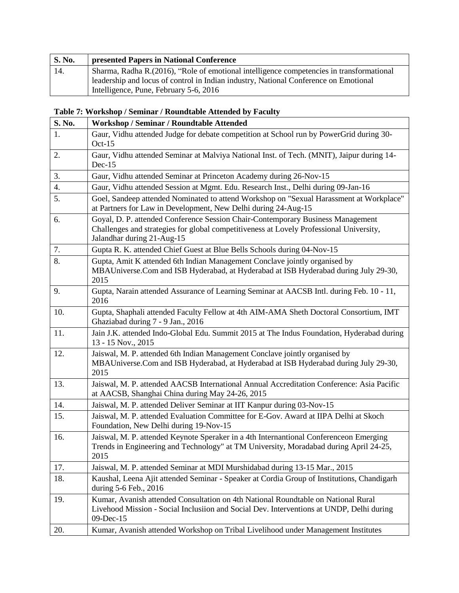| <b>S. No.</b> | presented Papers in National Conference                                                   |
|---------------|-------------------------------------------------------------------------------------------|
| 14.           | Sharma, Radha R. (2016), "Role of emotional intelligence competencies in transformational |
|               | leadership and locus of control in Indian industry, National Conference on Emotional      |
|               | Intelligence, Pune, February 5-6, 2016                                                    |

## **Table 7: Workshop / Seminar / Roundtable Attended by Faculty**

| S. No.           | Workshop / Seminar / Roundtable Attended                                                                                                                                                                 |
|------------------|----------------------------------------------------------------------------------------------------------------------------------------------------------------------------------------------------------|
| 1.               | Gaur, Vidhu attended Judge for debate competition at School run by PowerGrid during 30-<br>$Oct-15$                                                                                                      |
| 2.               | Gaur, Vidhu attended Seminar at Malviya National Inst. of Tech. (MNIT), Jaipur during 14-<br>$Dec-15$                                                                                                    |
| 3.               | Gaur, Vidhu attended Seminar at Princeton Academy during 26-Nov-15                                                                                                                                       |
| $\overline{4}$ . | Gaur, Vidhu attended Session at Mgmt. Edu. Research Inst., Delhi during 09-Jan-16                                                                                                                        |
| 5.               | Goel, Sandeep attended Nominated to attend Workshop on "Sexual Harassment at Workplace"<br>at Partners for Law in Development, New Delhi during 24-Aug-15                                                |
| 6.               | Goyal, D. P. attended Conference Session Chair-Contemporary Business Management<br>Challenges and strategies for global competitiveness at Lovely Professional University,<br>Jalandhar during 21-Aug-15 |
| 7.               | Gupta R. K. attended Chief Guest at Blue Bells Schools during 04-Nov-15                                                                                                                                  |
| 8.               | Gupta, Amit K attended 6th Indian Management Conclave jointly organised by<br>MBAUniverse.Com and ISB Hyderabad, at Hyderabad at ISB Hyderabad during July 29-30,<br>2015                                |
| 9.               | Gupta, Narain attended Assurance of Learning Seminar at AACSB Intl. during Feb. 10 - 11,<br>2016                                                                                                         |
| 10.              | Gupta, Shaphali attended Faculty Fellow at 4th AIM-AMA Sheth Doctoral Consortium, IMT<br>Ghaziabad during 7 - 9 Jan., 2016                                                                               |
| 11.              | Jain J.K. attended Indo-Global Edu. Summit 2015 at The Indus Foundation, Hyderabad during<br>13 - 15 Nov., 2015                                                                                          |
| 12.              | Jaiswal, M. P. attended 6th Indian Management Conclave jointly organised by<br>MBAUniverse.Com and ISB Hyderabad, at Hyderabad at ISB Hyderabad during July 29-30,<br>2015                               |
| 13.              | Jaiswal, M. P. attended AACSB International Annual Accreditation Conference: Asia Pacific<br>at AACSB, Shanghai China during May 24-26, 2015                                                             |
| 14.              | Jaiswal, M. P. attended Deliver Seminar at IIT Kanpur during 03-Nov-15                                                                                                                                   |
| 15.              | Jaiswal, M. P. attended Evaluation Committee for E-Gov. Award at IIPA Delhi at Skoch<br>Foundation, New Delhi during 19-Nov-15                                                                           |
| 16.              | Jaiswal, M. P. attended Keynote Speraker in a 4th Internantional Conferenceon Emerging<br>Trends in Engineering and Technology" at TM University, Moradabad during April 24-25,<br>2015                  |
| 17.              | Jaiswal, M. P. attended Seminar at MDI Murshidabad during 13-15 Mar., 2015                                                                                                                               |
| 18.              | Kaushal, Leena Ajit attended Seminar - Speaker at Cordia Group of Institutions, Chandigarh<br>during 5-6 Feb., 2016                                                                                      |
| 19.              | Kumar, Avanish attended Consultation on 4th National Roundtable on National Rural<br>Livehood Mission - Social Inclusiion and Social Dev. Interventions at UNDP, Delhi during<br>09-Dec-15               |
| 20.              | Kumar, Avanish attended Workshop on Tribal Livelihood under Management Institutes                                                                                                                        |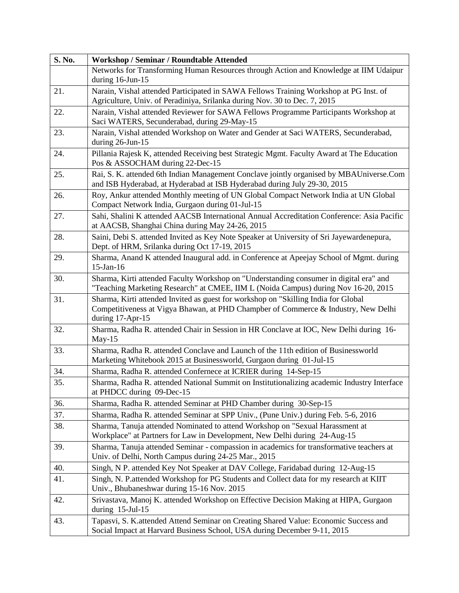| S. No. | Workshop / Seminar / Roundtable Attended                                                                                                                                                     |
|--------|----------------------------------------------------------------------------------------------------------------------------------------------------------------------------------------------|
|        | Networks for Transforming Human Resources through Action and Knowledge at IIM Udaipur<br>during 16-Jun-15                                                                                    |
| 21.    | Narain, Vishal attended Participated in SAWA Fellows Training Workshop at PG Inst. of<br>Agriculture, Univ. of Peradiniya, Srilanka during Nov. 30 to Dec. 7, 2015                           |
| 22.    | Narain, Vishal attended Reviewer for SAWA Fellows Programme Participants Workshop at<br>Saci WATERS, Secunderabad, during 29-May-15                                                          |
| 23.    | Narain, Vishal attended Workshop on Water and Gender at Saci WATERS, Secunderabad,<br>during 26-Jun-15                                                                                       |
| 24.    | Pillania Rajesk K, attended Receiving best Strategic Mgmt. Faculty Award at The Education<br>Pos & ASSOCHAM during 22-Dec-15                                                                 |
| 25.    | Rai, S. K. attended 6th Indian Management Conclave jointly organised by MBAUniverse.Com<br>and ISB Hyderabad, at Hyderabad at ISB Hyderabad during July 29-30, 2015                          |
| 26.    | Roy, Ankur attended Monthly meeting of UN Global Compact Network India at UN Global<br>Compact Network India, Gurgaon during 01-Jul-15                                                       |
| 27.    | Sahi, Shalini K attended AACSB International Annual Accreditation Conference: Asia Pacific<br>at AACSB, Shanghai China during May 24-26, 2015                                                |
| 28.    | Saini, Debi S. attended Invited as Key Note Speaker at University of Sri Jayewardenepura,<br>Dept. of HRM, Srilanka during Oct 17-19, 2015                                                   |
| 29.    | Sharma, Anand K attended Inaugural add. in Conference at Apeejay School of Mgmt. during<br>$15$ -Jan- $16$                                                                                   |
| 30.    | Sharma, Kirti attended Faculty Workshop on "Understanding consumer in digital era" and<br>"Teaching Marketing Research" at CMEE, IIM L (Noida Campus) during Nov 16-20, 2015                 |
| 31.    | Sharma, Kirti attended Invited as guest for workshop on "Skilling India for Global<br>Competitiveness at Vigya Bhawan, at PHD Champber of Commerce & Industry, New Delhi<br>during 17-Apr-15 |
| 32.    | Sharma, Radha R. attended Chair in Session in HR Conclave at IOC, New Delhi during 16-<br>May-15                                                                                             |
| 33.    | Sharma, Radha R. attended Conclave and Launch of the 11th edition of Businessworld<br>Marketing Whitebook 2015 at Businessworld, Gurgaon during 01-Jul-15                                    |
| 34.    | Sharma, Radha R. attended Confernece at ICRIER during 14-Sep-15                                                                                                                              |
| 35.    | Sharma, Radha R. attended National Summit on Institutionalizing academic Industry Interface<br>at PHDCC during 09-Dec-15                                                                     |
| 36.    | Sharma, Radha R. attended Seminar at PHD Chamber during 30-Sep-15                                                                                                                            |
| 37.    | Sharma, Radha R. attended Seminar at SPP Univ., (Pune Univ.) during Feb. 5-6, 2016                                                                                                           |
| 38.    | Sharma, Tanuja attended Nominated to attend Workshop on "Sexual Harassment at<br>Workplace" at Partners for Law in Development, New Delhi during 24-Aug-15                                   |
| 39.    | Sharma, Tanuja attended Seminar - compassion in academics for transformative teachers at<br>Univ. of Delhi, North Campus during 24-25 Mar., 2015                                             |
| 40.    | Singh, N P. attended Key Not Speaker at DAV College, Faridabad during 12-Aug-15                                                                                                              |
| 41.    | Singh, N. P. attended Workshop for PG Students and Collect data for my research at KIIT<br>Univ., Bhubaneshwar during 15-16 Nov. 2015                                                        |
| 42.    | Srivastava, Manoj K. attended Workshop on Effective Decision Making at HIPA, Gurgaon<br>during 15-Jul-15                                                                                     |
| 43.    | Tapasvi, S. K.attended Attend Seminar on Creating Shared Value: Economic Success and<br>Social Impact at Harvard Business School, USA during December 9-11, 2015                             |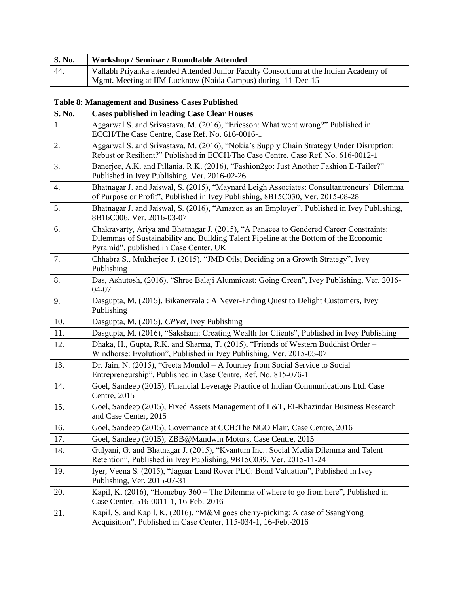| <b>S. No.</b> | Workshop / Seminar / Roundtable Attended                                              |
|---------------|---------------------------------------------------------------------------------------|
| 44.           | Vallabh Priyanka attended Attended Junior Faculty Consortium at the Indian Academy of |
|               | Mgmt. Meeting at IIM Lucknow (Noida Campus) during 11-Dec-15                          |

#### **Table 8: Management and Business Cases Published**

| S. No.           | <b>Cases published in leading Case Clear Houses</b>                                                                                                                                                                       |
|------------------|---------------------------------------------------------------------------------------------------------------------------------------------------------------------------------------------------------------------------|
| 1.               | Aggarwal S. and Srivastava, M. (2016), "Ericsson: What went wrong?" Published in<br>ECCH/The Case Centre, Case Ref. No. 616-0016-1                                                                                        |
| 2.               | Aggarwal S. and Srivastava, M. (2016), "Nokia's Supply Chain Strategy Under Disruption:<br>Rebust or Resilient?" Published in ECCH/The Case Centre, Case Ref. No. 616-0012-1                                              |
| 3.               | Banerjee, A.K. and Pillania, R.K. (2016), "Fashion2go: Just Another Fashion E-Tailer?"<br>Published in Ivey Publishing, Ver. 2016-02-26                                                                                   |
| $\overline{4}$ . | Bhatnagar J. and Jaiswal, S. (2015), "Maynard Leigh Associates: Consultantreneurs' Dilemma<br>of Purpose or Profit", Published in Ivey Publishing, 8B15C030, Ver. 2015-08-28                                              |
| 5.               | Bhatnagar J. and Jaiswal, S. (2016), "Amazon as an Employer", Published in Ivey Publishing,<br>8B16C006, Ver. 2016-03-07                                                                                                  |
| 6.               | Chakravarty, Ariya and Bhatnagar J. (2015), "A Panacea to Gendered Career Constraints:<br>Dilemmas of Sustainability and Building Talent Pipeline at the Bottom of the Economic<br>Pyramid", published in Case Center, UK |
| 7.               | Chhabra S., Mukherjee J. (2015), "JMD Oils; Deciding on a Growth Strategy", Ivey<br>Publishing                                                                                                                            |
| 8.               | Das, Ashutosh, (2016), "Shree Balaji Alumnicast: Going Green", Ivey Publishing, Ver. 2016-<br>04-07                                                                                                                       |
| 9.               | Dasgupta, M. (2015). Bikanervala: A Never-Ending Quest to Delight Customers, Ivey<br>Publishing                                                                                                                           |
| 10.              | Dasgupta, M. (2015). CPVet, Ivey Publishing                                                                                                                                                                               |
| 11.              | Dasgupta, M. (2016), "Saksham: Creating Wealth for Clients", Published in Ivey Publishing                                                                                                                                 |
| 12.              | Dhaka, H., Gupta, R.K. and Sharma, T. (2015), "Friends of Western Buddhist Order -<br>Windhorse: Evolution", Published in Ivey Publishing, Ver. 2015-05-07                                                                |
| 13.              | Dr. Jain, N. (2015), "Geeta Mondol - A Journey from Social Service to Social<br>Entrepreneurship", Published in Case Centre, Ref. No. 815-076-1                                                                           |
| 14.              | Goel, Sandeep (2015), Financial Leverage Practice of Indian Communications Ltd. Case<br>Centre, 2015                                                                                                                      |
| 15.              | Goel, Sandeep (2015), Fixed Assets Management of L&T, EI-Khazindar Business Research<br>and Case Center, 2015                                                                                                             |
| 16.              | Goel, Sandeep (2015), Governance at CCH: The NGO Flair, Case Centre, 2016                                                                                                                                                 |
| 17.              | Goel, Sandeep (2015), ZBB@Mandwin Motors, Case Centre, 2015                                                                                                                                                               |
| 18.              | Gulyani, G. and Bhatnagar J. (2015), "Kvantum Inc.: Social Media Dilemma and Talent<br>Retention", Published in Ivey Publishing, 9B15C039, Ver. 2015-11-24                                                                |
| 19.              | Iyer, Veena S. (2015), "Jaguar Land Rover PLC: Bond Valuation", Published in Ivey<br>Publishing, Ver. 2015-07-31                                                                                                          |
| 20.              | Kapil, K. (2016), "Homebuy 360 – The Dilemma of where to go from here", Published in<br>Case Center, 516-0011-1, 16-Feb.-2016                                                                                             |
| 21.              | Kapil, S. and Kapil, K. (2016), "M&M goes cherry-picking: A case of SsangYong<br>Acquisition", Published in Case Center, 115-034-1, 16-Feb.-2016                                                                          |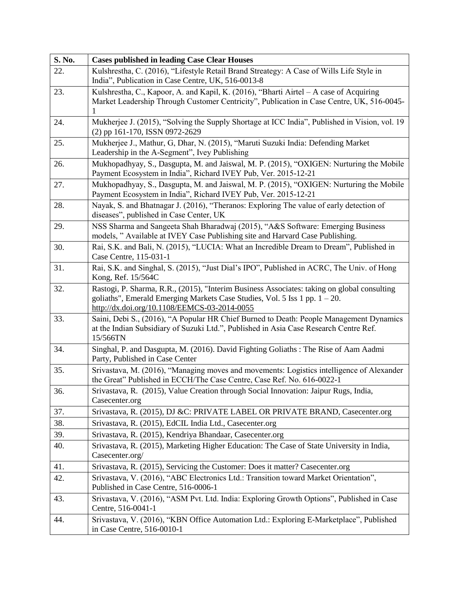| S. No. | <b>Cases published in leading Case Clear Houses</b>                                                                                                                                                                       |
|--------|---------------------------------------------------------------------------------------------------------------------------------------------------------------------------------------------------------------------------|
| 22.    | Kulshrestha, C. (2016), "Lifestyle Retail Brand Streategy: A Case of Wills Life Style in                                                                                                                                  |
|        | India", Publication in Case Centre, UK, 516-0013-8                                                                                                                                                                        |
| 23.    | Kulshrestha, C., Kapoor, A. and Kapil, K. (2016), "Bharti Airtel – A case of Acquiring                                                                                                                                    |
|        | Market Leadership Through Customer Centricity", Publication in Case Centre, UK, 516-0045-<br>1                                                                                                                            |
| 24.    | Mukherjee J. (2015), "Solving the Supply Shortage at ICC India", Published in Vision, vol. 19                                                                                                                             |
|        | (2) pp 161-170, ISSN 0972-2629                                                                                                                                                                                            |
| 25.    | Mukherjee J., Mathur, G, Dhar, N. (2015), "Maruti Suzuki India: Defending Market<br>Leadership in the A-Segment", Ivey Publishing                                                                                         |
| 26.    | Mukhopadhyay, S., Dasgupta, M. and Jaiswal, M. P. (2015), "OXIGEN: Nurturing the Mobile<br>Payment Ecosystem in India", Richard IVEY Pub, Ver. 2015-12-21                                                                 |
| 27.    | Mukhopadhyay, S., Dasgupta, M. and Jaiswal, M. P. (2015), "OXIGEN: Nurturing the Mobile<br>Payment Ecosystem in India", Richard IVEY Pub, Ver. 2015-12-21                                                                 |
| 28.    | Nayak, S. and Bhatnagar J. (2016), "Theranos: Exploring The value of early detection of<br>diseases", published in Case Center, UK                                                                                        |
| 29.    | NSS Sharma and Sangeeta Shah Bharadwaj (2015), "A&S Software: Emerging Business<br>models, " Available at IVEY Case Publishing site and Harvard Case Publishing.                                                          |
| 30.    | Rai, S.K. and Bali, N. (2015), "LUCIA: What an Incredible Dream to Dream", Published in<br>Case Centre, 115-031-1                                                                                                         |
| 31.    | Rai, S.K. and Singhal, S. (2015), "Just Dial's IPO", Published in ACRC, The Univ. of Hong<br>Kong, Ref. 15/564C                                                                                                           |
| 32.    | Rastogi, P. Sharma, R.R., (2015), "Interim Business Associates: taking on global consulting<br>goliaths", Emerald Emerging Markets Case Studies, Vol. 5 Iss 1 pp. 1 - 20.<br>http://dx.doi.org/10.1108/EEMCS-03-2014-0055 |
| 33.    | Saini, Debi S., (2016), "A Popular HR Chief Burned to Death: People Management Dynamics<br>at the Indian Subsidiary of Suzuki Ltd.", Published in Asia Case Research Centre Ref.<br>15/566TN                              |
| 34.    | Singhal, P. and Dasgupta, M. (2016). David Fighting Goliaths: The Rise of Aam Aadmi<br>Party, Published in Case Center                                                                                                    |
| 35.    | Srivastava, M. (2016), "Managing moves and movements: Logistics intelligence of Alexander<br>the Great" Published in ECCH/The Case Centre, Case Ref. No. 616-0022-1                                                       |
| 36.    | Srivastava, R. (2015), Value Creation through Social Innovation: Jaipur Rugs, India,<br>Casecenter.org                                                                                                                    |
| 37.    | Srivastava, R. (2015), DJ &C: PRIVATE LABEL OR PRIVATE BRAND, Casecenter.org                                                                                                                                              |
| 38.    | Srivastava, R. (2015), EdCIL India Ltd., Casecenter.org                                                                                                                                                                   |
| 39.    | Srivastava, R. (2015), Kendriya Bhandaar, Casecenter.org                                                                                                                                                                  |
| 40.    | Srivastava, R. (2015), Marketing Higher Education: The Case of State University in India,<br>Casecenter.org/                                                                                                              |
| 41.    | Srivastava, R. (2015), Servicing the Customer: Does it matter? Casecenter.org                                                                                                                                             |
| 42.    | Srivastava, V. (2016), "ABC Electronics Ltd.: Transition toward Market Orientation",<br>Published in Case Centre, 516-0006-1                                                                                              |
| 43.    | Srivastava, V. (2016), "ASM Pvt. Ltd. India: Exploring Growth Options", Published in Case<br>Centre, 516-0041-1                                                                                                           |
| 44.    | Srivastava, V. (2016), "KBN Office Automation Ltd.: Exploring E-Marketplace", Published<br>in Case Centre, 516-0010-1                                                                                                     |